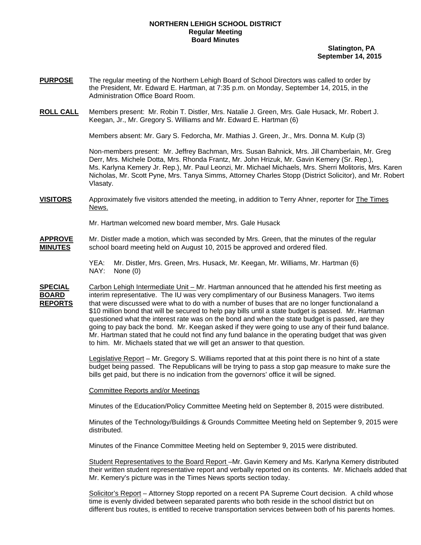#### **NORTHERN LEHIGH SCHOOL DISTRICT Regular Meeting Board Minutes**

 **Slatington, PA September 14, 2015** 

- **PURPOSE** The regular meeting of the Northern Lehigh Board of School Directors was called to order by the President, Mr. Edward E. Hartman, at 7:35 p.m. on Monday, September 14, 2015, in the Administration Office Board Room.
- **ROLL CALL** Members present: Mr. Robin T. Distler, Mrs. Natalie J. Green, Mrs. Gale Husack, Mr. Robert J. Keegan, Jr., Mr. Gregory S. Williams and Mr. Edward E. Hartman (6)

Members absent: Mr. Gary S. Fedorcha, Mr. Mathias J. Green, Jr., Mrs. Donna M. Kulp (3)

Non-members present: Mr. Jeffrey Bachman, Mrs. Susan Bahnick, Mrs. Jill Chamberlain, Mr. Greg Derr, Mrs. Michele Dotta, Mrs. Rhonda Frantz, Mr. John Hrizuk, Mr. Gavin Kemery (Sr. Rep.), Ms. Karlyna Kemery Jr. Rep.), Mr. Paul Leonzi, Mr. Michael Michaels, Mrs. Sherri Molitoris, Mrs. Karen Nicholas, Mr. Scott Pyne, Mrs. Tanya Simms, Attorney Charles Stopp (District Solicitor), and Mr. Robert Vlasaty.

**VISITORS** Approximately five visitors attended the meeting, in addition to Terry Ahner, reporter for The Times News.

Mr. Hartman welcomed new board member, Mrs. Gale Husack

- **APPROVE** Mr. Distler made a motion, which was seconded by Mrs. Green, that the minutes of the regular **MINUTES** school board meeting held on August 10, 2015 be approved and ordered filed.
	- YEA: Mr. Distler, Mrs. Green, Mrs. Husack, Mr. Keegan, Mr. Williams, Mr. Hartman (6) NAY: None (0)
- **SPECIAL** Carbon Lehigh Intermediate Unit Mr. Hartman announced that he attended his first meeting as **BOARD** interim representative. The IU was very complimentary of our Business Managers. Two items **REPORTS** that were discussed were what to do with a number of buses that are no longer functional and a \$10 million bond that will be secured to help pay bills until a state budget is passed. Mr. Hartman questioned what the interest rate was on the bond and when the state budget is passed, are they going to pay back the bond. Mr. Keegan asked if they were going to use any of their fund balance. Mr. Hartman stated that he could not find any fund balance in the operating budget that was given to him. Mr. Michaels stated that we will get an answer to that question.

 Legislative Report – Mr. Gregory S. Williams reported that at this point there is no hint of a state budget being passed. The Republicans will be trying to pass a stop gap measure to make sure the bills get paid, but there is no indication from the governors' office it will be signed.

Committee Reports and/or Meetings

Minutes of the Education/Policy Committee Meeting held on September 8, 2015 were distributed.

Minutes of the Technology/Buildings & Grounds Committee Meeting held on September 9, 2015 were distributed.

Minutes of the Finance Committee Meeting held on September 9, 2015 were distributed.

Student Representatives to the Board Report -Mr. Gavin Kemery and Ms. Karlyna Kemery distributed their written student representative report and verbally reported on its contents. Mr. Michaels added that Mr. Kemery's picture was in the Times News sports section today.

 Solicitor's Report – Attorney Stopp reported on a recent PA Supreme Court decision. A child whose time is evenly divided between separated parents who both reside in the school district but on different bus routes, is entitled to receive transportation services between both of his parents homes.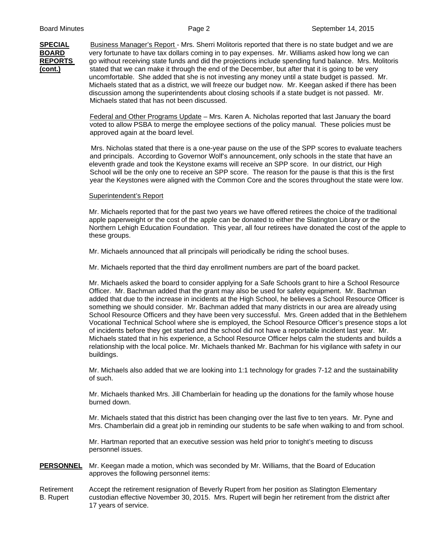**SPECIAL** Business Manager's Report - Mrs. Sherri Molitoris reported that there is no state budget and we are **BOARD** very fortunate to have tax dollars coming in to pay expenses. Mr. Williams asked how long we can **REPORTS** go without receiving state funds and did the projections include spending fund balance. Mrs. Molitoris **(cont.)** stated that we can make it through the end of the December, but after that it is going to be very uncomfortable. She added that she is not investing any money until a state budget is passed. Mr. Michaels stated that as a district, we will freeze our budget now. Mr. Keegan asked if there has been discussion among the superintendents about closing schools if a state budget is not passed. Mr. Michaels stated that has not been discussed.

> Federal and Other Programs Update – Mrs. Karen A. Nicholas reported that last January the board voted to allow PSBA to merge the employee sections of the policy manual. These policies must be approved again at the board level.

 Mrs. Nicholas stated that there is a one-year pause on the use of the SPP scores to evaluate teachers and principals. According to Governor Wolf's announcement, only schools in the state that have an eleventh grade and took the Keystone exams will receive an SPP score. In our district, our High School will be the only one to receive an SPP score. The reason for the pause is that this is the first year the Keystones were aligned with the Common Core and the scores throughout the state were low.

## Superintendent's Report

Mr. Michaels reported that for the past two years we have offered retirees the choice of the traditional apple paperweight or the cost of the apple can be donated to either the Slatington Library or the Northern Lehigh Education Foundation. This year, all four retirees have donated the cost of the apple to these groups.

Mr. Michaels announced that all principals will periodically be riding the school buses.

Mr. Michaels reported that the third day enrollment numbers are part of the board packet.

Mr. Michaels asked the board to consider applying for a Safe Schools grant to hire a School Resource Officer. Mr. Bachman added that the grant may also be used for safety equipment. Mr. Bachman added that due to the increase in incidents at the High School, he believes a School Resource Officer is something we should consider. Mr. Bachman added that many districts in our area are already using School Resource Officers and they have been very successful. Mrs. Green added that in the Bethlehem Vocational Technical School where she is employed, the School Resource Officer's presence stops a lot of incidents before they get started and the school did not have a reportable incident last year. Mr. Michaels stated that in his experience, a School Resource Officer helps calm the students and builds a relationship with the local police. Mr. Michaels thanked Mr. Bachman for his vigilance with safety in our buildings.

Mr. Michaels also added that we are looking into 1:1 technology for grades 7-12 and the sustainability of such.

Mr. Michaels thanked Mrs. Jill Chamberlain for heading up the donations for the family whose house burned down.

Mr. Michaels stated that this district has been changing over the last five to ten years. Mr. Pyne and Mrs. Chamberlain did a great job in reminding our students to be safe when walking to and from school.

Mr. Hartman reported that an executive session was held prior to tonight's meeting to discuss personnel issues.

**PERSONNEL** Mr. Keegan made a motion, which was seconded by Mr. Williams, that the Board of Education approves the following personnel items:

Retirement Accept the retirement resignation of Beverly Rupert from her position as Slatington Elementary B. Rupert custodian effective November 30, 2015. Mrs. Rupert will begin her retirement from the district after 17 years of service.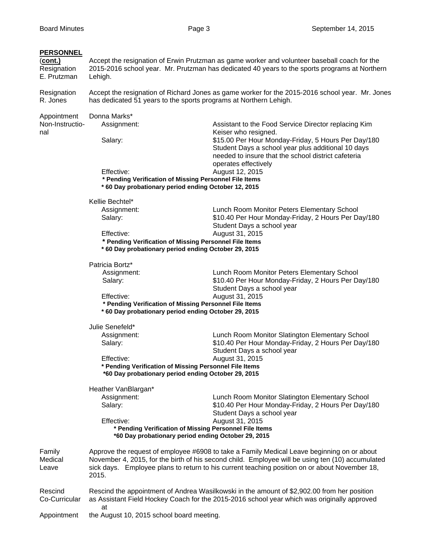### **PERSONNEL**

(**cont.)** Accept the resignation of Erwin Prutzman as game worker and volunteer baseball coach for the Resignation 2015-2016 school year. Mr. Prutzman has dedicated 40 years to the sports programs at Northern E. Prutzman Lehigh. Resignation Accept the resignation of Richard Jones as game worker for the 2015-2016 school year. Mr. Jones R. Jones has dedicated 51 years to the sports programs at Northern Lehigh. Appointment Donna Marks\* Non-Instructio- Assignment: Assistant to the Food Service Director replacing Kim nal **Keiser who resigned.** The settlement of the settlement of the Keiser who resigned. Salary: **\$15.00 Per Hour Monday-Friday, 5 Hours Per Day/180** Student Days a school year plus additional 10 days needed to insure that the school district cafeteria operates effectively Effective: August 12, 2015  **\* Pending Verification of Missing Personnel File Items \* 60 Day probationary period ending October 12, 2015**  Kellie Bechtel\* Assignment: Lunch Room Monitor Peters Elementary School Salary:  $$10.40$  Per Hour Monday-Friday, 2 Hours Per Day/180 Student Days a school year Effective: August 31, 2015  **\* Pending Verification of Missing Personnel File Items \* 60 Day probationary period ending October 29, 2015**  Patricia Bortz\* Assignment: Lunch Room Monitor Peters Elementary School Salary:  $$10.40$  Per Hour Monday-Friday, 2 Hours Per Day/180 Student Days a school year Effective: August 31, 2015  **\* Pending Verification of Missing Personnel File Items \* 60 Day probationary period ending October 29, 2015**  Julie Senefeld\* Assignment: Lunch Room Monitor Slatington Elementary School Salary:  $$10.40$  Per Hour Monday-Friday, 2 Hours Per Day/180 Student Days a school year Effective: August 31, 2015 **\* Pending Verification of Missing Personnel File Items \*60 Day probationary period ending October 29, 2015**  Heather VanBlargan\* Assignment: Lunch Room Monitor Slatington Elementary School Salary: **\$10.40 Per Hour Monday-Friday, 2 Hours Per Day/180** Student Days a school year Effective: August 31, 2015 **\* Pending Verification of Missing Personnel File Items \*60 Day probationary period ending October 29, 2015**  Family Approve the request of employee #6908 to take a Family Medical Leave beginning on or about Medical November 4, 2015, for the birth of his second child. Employee will be using ten (10) accumulated Leave sick days. Employee plans to return to his current teaching position on or about November 18, 2015. Rescind Rescind the appointment of Andrea Wasilkowski in the amount of \$2,902.00 from her position Co-Curricular as Assistant Field Hockey Coach for the 2015-2016 school year which was originally approved at Appointment the August 10, 2015 school board meeting.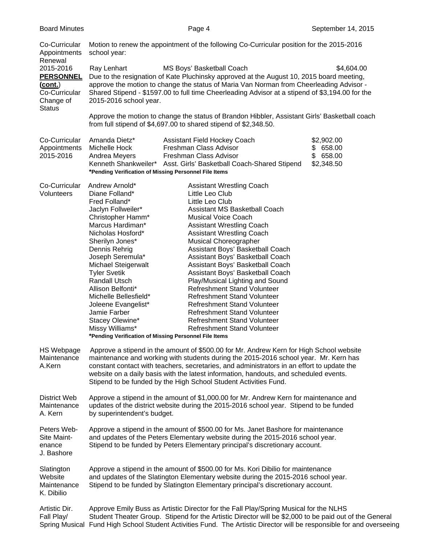| Co-Curricular<br>Appointments<br>Renewal                                                       | Motion to renew the appointment of the following Co-Curricular position for the 2015-2016<br>school year:                                                                                                                                                                                                                                                                                                                                                                                                                                                                                                                                                                                                                                                                                                                                                                                                                                                                                                                                                                                                  |  |  |  |  |  |
|------------------------------------------------------------------------------------------------|------------------------------------------------------------------------------------------------------------------------------------------------------------------------------------------------------------------------------------------------------------------------------------------------------------------------------------------------------------------------------------------------------------------------------------------------------------------------------------------------------------------------------------------------------------------------------------------------------------------------------------------------------------------------------------------------------------------------------------------------------------------------------------------------------------------------------------------------------------------------------------------------------------------------------------------------------------------------------------------------------------------------------------------------------------------------------------------------------------|--|--|--|--|--|
| 2015-2016<br><b>PERSONNEL</b><br><u>(cont.)</u><br>Co-Curricular<br>Change of<br><b>Status</b> | \$4,604.00<br>Ray Lenhart<br>MS Boys' Basketball Coach<br>Due to the resignation of Kate Pluchinsky approved at the August 10, 2015 board meeting,<br>approve the motion to change the status of Maria Van Norman from Cheerleading Advisor -<br>Shared Stipend - \$1597.00 to full time Cheerleading Advisor at a stipend of \$3,194.00 for the<br>2015-2016 school year.                                                                                                                                                                                                                                                                                                                                                                                                                                                                                                                                                                                                                                                                                                                                 |  |  |  |  |  |
|                                                                                                | Approve the motion to change the status of Brandon Hibbler, Assistant Girls' Basketball coach<br>from full stipend of \$4,697.00 to shared stipend of \$2,348.50.                                                                                                                                                                                                                                                                                                                                                                                                                                                                                                                                                                                                                                                                                                                                                                                                                                                                                                                                          |  |  |  |  |  |
| Co-Curricular<br>Appointments<br>2015-2016                                                     | Amanda Dietz*<br>Assistant Field Hockey Coach<br>\$2,902.00<br>Michelle Hock<br>Freshman Class Advisor<br>\$658.00<br>\$658.00<br>Andrea Meyers<br>Freshman Class Advisor<br>Kenneth Shankweiler* Asst. Girls' Basketball Coach-Shared Stipend<br>\$2,348.50<br>*Pending Verification of Missing Personnel File Items                                                                                                                                                                                                                                                                                                                                                                                                                                                                                                                                                                                                                                                                                                                                                                                      |  |  |  |  |  |
| Co-Curricular<br>Volunteers                                                                    | Andrew Arnold*<br><b>Assistant Wrestling Coach</b><br>Diane Folland*<br>Little Leo Club<br>Fred Folland*<br>Little Leo Club<br>Jaclyn Follweiler*<br>Assistant MS Basketball Coach<br>Christopher Hamm*<br><b>Musical Voice Coach</b><br>Marcus Hardiman*<br><b>Assistant Wrestling Coach</b><br>Nicholas Hosford*<br><b>Assistant Wrestling Coach</b><br>Sherilyn Jones*<br><b>Musical Choreographer</b><br>Assistant Boys' Basketball Coach<br>Dennis Rehrig<br>Joseph Seremula*<br>Assistant Boys' Basketball Coach<br>Michael Steigerwalt<br>Assistant Boys' Basketball Coach<br><b>Tyler Svetik</b><br>Assistant Boys' Basketball Coach<br>Randall Utsch<br>Play/Musical Lighting and Sound<br>Refreshment Stand Volunteer<br>Allison Belfonti*<br>Michelle Bellesfield*<br><b>Refreshment Stand Volunteer</b><br>Refreshment Stand Volunteer<br>Joleene Evangelist*<br>Jamie Farber<br><b>Refreshment Stand Volunteer</b><br>Stacey Olewine*<br><b>Refreshment Stand Volunteer</b><br>Missy Williams*<br><b>Refreshment Stand Volunteer</b><br>*Pending Verification of Missing Personnel File Items |  |  |  |  |  |
| <b>HS Webpage</b><br>Maintenance<br>A.Kern                                                     | Approve a stipend in the amount of \$500.00 for Mr. Andrew Kern for High School website<br>maintenance and working with students during the 2015-2016 school year. Mr. Kern has<br>constant contact with teachers, secretaries, and administrators in an effort to update the<br>website on a daily basis with the latest information, handouts, and scheduled events.<br>Stipend to be funded by the High School Student Activities Fund.                                                                                                                                                                                                                                                                                                                                                                                                                                                                                                                                                                                                                                                                 |  |  |  |  |  |
| District Web<br>Maintenance<br>A. Kern                                                         | Approve a stipend in the amount of \$1,000.00 for Mr. Andrew Kern for maintenance and<br>updates of the district website during the 2015-2016 school year. Stipend to be funded<br>by superintendent's budget.                                                                                                                                                                                                                                                                                                                                                                                                                                                                                                                                                                                                                                                                                                                                                                                                                                                                                             |  |  |  |  |  |
| Peters Web-<br>Site Maint-<br>enance<br>J. Bashore                                             | Approve a stipend in the amount of \$500.00 for Ms. Janet Bashore for maintenance<br>and updates of the Peters Elementary website during the 2015-2016 school year.<br>Stipend to be funded by Peters Elementary principal's discretionary account.                                                                                                                                                                                                                                                                                                                                                                                                                                                                                                                                                                                                                                                                                                                                                                                                                                                        |  |  |  |  |  |
| Slatington<br>Website<br>Maintenance<br>K. Dibilio                                             | Approve a stipend in the amount of \$500.00 for Ms. Kori Dibilio for maintenance<br>and updates of the Slatington Elementary website during the 2015-2016 school year.<br>Stipend to be funded by Slatington Elementary principal's discretionary account.                                                                                                                                                                                                                                                                                                                                                                                                                                                                                                                                                                                                                                                                                                                                                                                                                                                 |  |  |  |  |  |
| Artistic Dir.<br>Fall Play/                                                                    | Approve Emily Buss as Artistic Director for the Fall Play/Spring Musical for the NLHS<br>Student Theater Group. Stipend for the Artistic Director will be \$2,000 to be paid out of the General                                                                                                                                                                                                                                                                                                                                                                                                                                                                                                                                                                                                                                                                                                                                                                                                                                                                                                            |  |  |  |  |  |

Spring Musical Fund High School Student Activities Fund. The Artistic Director will be responsible for and overseeing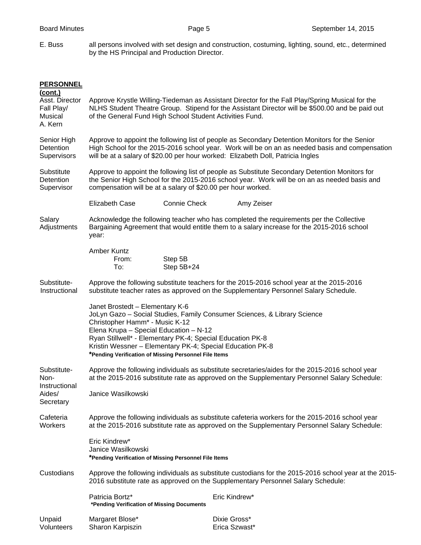E. Buss all persons involved with set design and construction, costuming, lighting, sound, etc., determined by the HS Principal and Production Director.

| <b>PERSONNEL</b><br>(cont.)<br>Asst. Director<br>Fall Play/<br>Musical<br>A. Kern | Approve Krystle Willing-Tiedeman as Assistant Director for the Fall Play/Spring Musical for the<br>NLHS Student Theatre Group. Stipend for the Assistant Director will be \$500.00 and be paid out<br>of the General Fund High School Student Activities Fund.                                 |                       |                                                                          |  |  |
|-----------------------------------------------------------------------------------|------------------------------------------------------------------------------------------------------------------------------------------------------------------------------------------------------------------------------------------------------------------------------------------------|-----------------------|--------------------------------------------------------------------------|--|--|
| Senior High<br>Detention<br>Supervisors                                           | Approve to appoint the following list of people as Secondary Detention Monitors for the Senior<br>High School for the 2015-2016 school year. Work will be on an as needed basis and compensation<br>will be at a salary of \$20.00 per hour worked: Elizabeth Doll, Patricia Ingles            |                       |                                                                          |  |  |
| Substitute<br>Detention<br>Supervisor                                             | Approve to appoint the following list of people as Substitute Secondary Detention Monitors for<br>the Senior High School for the 2015-2016 school year. Work will be on an as needed basis and<br>compensation will be at a salary of \$20.00 per hour worked.                                 |                       |                                                                          |  |  |
|                                                                                   | <b>Elizabeth Case</b>                                                                                                                                                                                                                                                                          | <b>Connie Check</b>   | Amy Zeiser                                                               |  |  |
| Salary<br>Adjustments                                                             | Acknowledge the following teacher who has completed the requirements per the Collective<br>Bargaining Agreement that would entitle them to a salary increase for the 2015-2016 school<br>year:                                                                                                 |                       |                                                                          |  |  |
|                                                                                   | Amber Kuntz<br>From:<br>To:                                                                                                                                                                                                                                                                    | Step 5B<br>Step 5B+24 |                                                                          |  |  |
| Substitute-<br>Instructional                                                      | Approve the following substitute teachers for the 2015-2016 school year at the 2015-2016<br>substitute teacher rates as approved on the Supplementary Personnel Salary Schedule.                                                                                                               |                       |                                                                          |  |  |
|                                                                                   | Janet Brostedt - Elementary K-6<br>Christopher Hamm* - Music K-12<br>Elena Krupa - Special Education - N-12<br>Ryan Stillwell* - Elementary PK-4; Special Education PK-8<br>Kristin Wessner - Elementary PK-4; Special Education PK-8<br>*Pending Verification of Missing Personnel File Items |                       | JoLyn Gazo - Social Studies, Family Consumer Sciences, & Library Science |  |  |
| Substitute-<br>Non-<br>Instructional<br>Aides/<br>Secretary                       | Approve the following individuals as substitute secretaries/aides for the 2015-2016 school year<br>at the 2015-2016 substitute rate as approved on the Supplementary Personnel Salary Schedule:<br>Janice Wasilkowski                                                                          |                       |                                                                          |  |  |
| Cafeteria<br>Workers                                                              | Approve the following individuals as substitute cafeteria workers for the 2015-2016 school year<br>at the 2015-2016 substitute rate as approved on the Supplementary Personnel Salary Schedule:                                                                                                |                       |                                                                          |  |  |
|                                                                                   | Eric Kindrew*<br>Janice Wasilkowski<br>*Pending Verification of Missing Personnel File Items                                                                                                                                                                                                   |                       |                                                                          |  |  |
| Custodians                                                                        | Approve the following individuals as substitute custodians for the 2015-2016 school year at the 2015-<br>2016 substitute rate as approved on the Supplementary Personnel Salary Schedule:                                                                                                      |                       |                                                                          |  |  |
|                                                                                   | Patricia Bortz*<br>*Pending Verification of Missing Documents                                                                                                                                                                                                                                  |                       | Eric Kindrew*                                                            |  |  |
| Unpaid<br>Volunteers                                                              | Margaret Blose*<br>Sharon Karpiszin                                                                                                                                                                                                                                                            |                       | Dixie Gross*<br>Erica Szwast*                                            |  |  |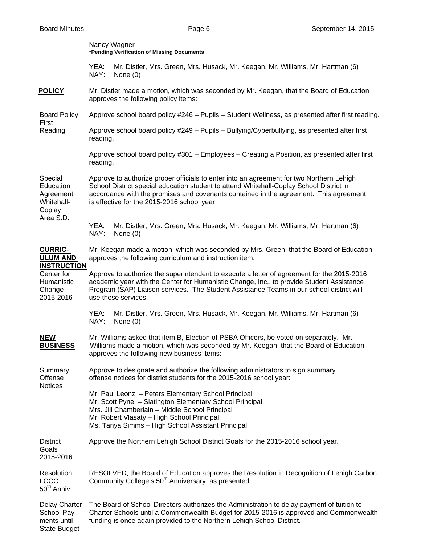|                                                                                                            | Nancy Wagner<br>*Pending Verification of Missing Documents                                                                                                                                                                                                                                                                  |                                                                                               |  |  |  |
|------------------------------------------------------------------------------------------------------------|-----------------------------------------------------------------------------------------------------------------------------------------------------------------------------------------------------------------------------------------------------------------------------------------------------------------------------|-----------------------------------------------------------------------------------------------|--|--|--|
|                                                                                                            | YEA:<br>NAY:                                                                                                                                                                                                                                                                                                                | Mr. Distler, Mrs. Green, Mrs. Husack, Mr. Keegan, Mr. Williams, Mr. Hartman (6)<br>None $(0)$ |  |  |  |
| <b>POLICY</b>                                                                                              | Mr. Distler made a motion, which was seconded by Mr. Keegan, that the Board of Education<br>approves the following policy items:                                                                                                                                                                                            |                                                                                               |  |  |  |
| <b>Board Policy</b><br>First<br>Reading                                                                    | Approve school board policy #246 - Pupils - Student Wellness, as presented after first reading.                                                                                                                                                                                                                             |                                                                                               |  |  |  |
|                                                                                                            | Approve school board policy #249 - Pupils - Bullying/Cyberbullying, as presented after first<br>reading.                                                                                                                                                                                                                    |                                                                                               |  |  |  |
|                                                                                                            | Approve school board policy #301 - Employees - Creating a Position, as presented after first<br>reading.                                                                                                                                                                                                                    |                                                                                               |  |  |  |
| Special<br>Education<br>Agreement<br>Whitehall-<br>Coplay<br>Area S.D.                                     | Approve to authorize proper officials to enter into an agreement for two Northern Lehigh<br>School District special education student to attend Whitehall-Coplay School District in<br>accordance with the promises and covenants contained in the agreement. This agreement<br>is effective for the 2015-2016 school year. |                                                                                               |  |  |  |
|                                                                                                            | YEA:<br>NAY:                                                                                                                                                                                                                                                                                                                | Mr. Distler, Mrs. Green, Mrs. Husack, Mr. Keegan, Mr. Williams, Mr. Hartman (6)<br>None $(0)$ |  |  |  |
| <b>CURRIC-</b><br><b>ULUM AND</b><br><b>INSTRUCTION</b><br>Center for<br>Humanistic<br>Change<br>2015-2016 | Mr. Keegan made a motion, which was seconded by Mrs. Green, that the Board of Education<br>approves the following curriculum and instruction item:                                                                                                                                                                          |                                                                                               |  |  |  |
|                                                                                                            | Approve to authorize the superintendent to execute a letter of agreement for the 2015-2016<br>academic year with the Center for Humanistic Change, Inc., to provide Student Assistance<br>Program (SAP) Liaison services. The Student Assistance Teams in our school district will<br>use these services.                   |                                                                                               |  |  |  |
|                                                                                                            | YEA:<br>NAY:                                                                                                                                                                                                                                                                                                                | Mr. Distler, Mrs. Green, Mrs. Husack, Mr. Keegan, Mr. Williams, Mr. Hartman (6)<br>None $(0)$ |  |  |  |
| <b>NEW</b><br><b>BUSINESS</b>                                                                              | Mr. Williams asked that item B, Election of PSBA Officers, be voted on separately. Mr.<br>Williams made a motion, which was seconded by Mr. Keegan, that the Board of Education<br>approves the following new business items:                                                                                               |                                                                                               |  |  |  |
| Summary<br>Offense<br><b>Notices</b>                                                                       | Approve to designate and authorize the following administrators to sign summary<br>offense notices for district students for the 2015-2016 school year:                                                                                                                                                                     |                                                                                               |  |  |  |
|                                                                                                            | Mr. Paul Leonzi - Peters Elementary School Principal<br>Mr. Scott Pyne - Slatington Elementary School Principal<br>Mrs. Jill Chamberlain - Middle School Principal<br>Mr. Robert Vlasaty - High School Principal<br>Ms. Tanya Simms - High School Assistant Principal                                                       |                                                                                               |  |  |  |
| <b>District</b><br>Goals<br>2015-2016                                                                      | Approve the Northern Lehigh School District Goals for the 2015-2016 school year.                                                                                                                                                                                                                                            |                                                                                               |  |  |  |
| Resolution<br><b>LCCC</b><br>$50th$ Anniv.                                                                 | RESOLVED, the Board of Education approves the Resolution in Recognition of Lehigh Carbon<br>Community College's 50 <sup>th</sup> Anniversary, as presented.                                                                                                                                                                 |                                                                                               |  |  |  |
| Delay Charter<br>School Pay-<br>ments until<br><b>State Budget</b>                                         | The Board of School Directors authorizes the Administration to delay payment of tuition to<br>Charter Schools until a Commonwealth Budget for 2015-2016 is approved and Commonwealth<br>funding is once again provided to the Northern Lehigh School District.                                                              |                                                                                               |  |  |  |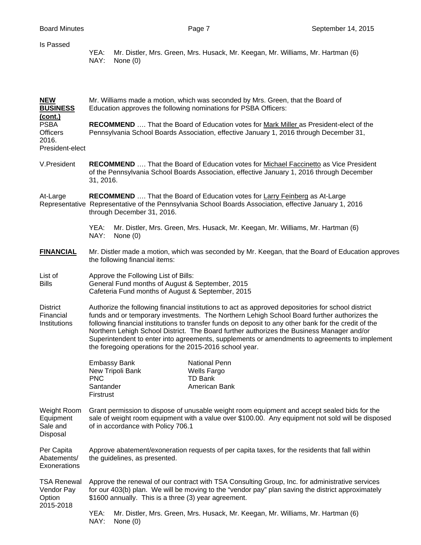| Is Passed                                                  | YEA:<br>Mr. Distler, Mrs. Green, Mrs. Husack, Mr. Keegan, Mr. Williams, Mr. Hartman (6)<br>NAY:<br>None $(0)$                                                                                                                                                                                                                                                                                                                                                                                                                                                       |  |  |  |
|------------------------------------------------------------|---------------------------------------------------------------------------------------------------------------------------------------------------------------------------------------------------------------------------------------------------------------------------------------------------------------------------------------------------------------------------------------------------------------------------------------------------------------------------------------------------------------------------------------------------------------------|--|--|--|
| <b>NEW</b><br><b>BUSINESS</b><br>(cont.)                   | Mr. Williams made a motion, which was seconded by Mrs. Green, that the Board of<br>Education approves the following nominations for PSBA Officers:                                                                                                                                                                                                                                                                                                                                                                                                                  |  |  |  |
| <b>PSBA</b><br><b>Officers</b><br>2016.<br>President-elect | <b>RECOMMEND</b> That the Board of Education votes for Mark Miller as President-elect of the<br>Pennsylvania School Boards Association, effective January 1, 2016 through December 31,                                                                                                                                                                                                                                                                                                                                                                              |  |  |  |
| V.President                                                | <b>RECOMMEND</b> That the Board of Education votes for Michael Faccinetto as Vice President<br>of the Pennsylvania School Boards Association, effective January 1, 2016 through December<br>31, 2016.                                                                                                                                                                                                                                                                                                                                                               |  |  |  |
| At-Large                                                   | <b>RECOMMEND</b> That the Board of Education votes for Larry Feinberg as At-Large<br>Representative Representative of the Pennsylvania School Boards Association, effective January 1, 2016<br>through December 31, 2016.                                                                                                                                                                                                                                                                                                                                           |  |  |  |
|                                                            | YEA:<br>Mr. Distler, Mrs. Green, Mrs. Husack, Mr. Keegan, Mr. Williams, Mr. Hartman (6)<br>NAY:<br>None $(0)$                                                                                                                                                                                                                                                                                                                                                                                                                                                       |  |  |  |
| <b>FINANCIAL</b>                                           | Mr. Distler made a motion, which was seconded by Mr. Keegan, that the Board of Education approves<br>the following financial items:                                                                                                                                                                                                                                                                                                                                                                                                                                 |  |  |  |
| List of<br><b>Bills</b>                                    | Approve the Following List of Bills:<br>General Fund months of August & September, 2015<br>Cafeteria Fund months of August & September, 2015                                                                                                                                                                                                                                                                                                                                                                                                                        |  |  |  |
| <b>District</b><br>Financial<br>Institutions               | Authorize the following financial institutions to act as approved depositories for school district<br>funds and or temporary investments. The Northern Lehigh School Board further authorizes the<br>following financial institutions to transfer funds on deposit to any other bank for the credit of the<br>Northern Lehigh School District. The Board further authorizes the Business Manager and/or<br>Superintendent to enter into agreements, supplements or amendments to agreements to implement<br>the foregoing operations for the 2015-2016 school year. |  |  |  |
|                                                            | <b>Embassy Bank</b><br><b>National Penn</b><br>New Tripoli Bank<br>Wells Fargo<br><b>PNC</b><br><b>TD Bank</b><br>Santander<br>American Bank<br>Firstrust                                                                                                                                                                                                                                                                                                                                                                                                           |  |  |  |
| Weight Room<br>Equipment<br>Sale and<br>Disposal           | Grant permission to dispose of unusable weight room equipment and accept sealed bids for the<br>sale of weight room equipment with a value over \$100.00. Any equipment not sold will be disposed<br>of in accordance with Policy 706.1                                                                                                                                                                                                                                                                                                                             |  |  |  |
| Per Capita<br>Abatements/<br>Exonerations                  | Approve abatement/exoneration requests of per capita taxes, for the residents that fall within<br>the guidelines, as presented.                                                                                                                                                                                                                                                                                                                                                                                                                                     |  |  |  |
| <b>TSA Renewal</b><br>Vendor Pay<br>Option<br>2015-2018    | Approve the renewal of our contract with TSA Consulting Group, Inc. for administrative services<br>for our 403(b) plan. We will be moving to the "vendor pay" plan saving the district approximately<br>\$1600 annually. This is a three (3) year agreement.                                                                                                                                                                                                                                                                                                        |  |  |  |
|                                                            | YEA:<br>Mr. Distler, Mrs. Green, Mrs. Husack, Mr. Keegan, Mr. Williams, Mr. Hartman (6)<br>NAY:<br>None $(0)$                                                                                                                                                                                                                                                                                                                                                                                                                                                       |  |  |  |